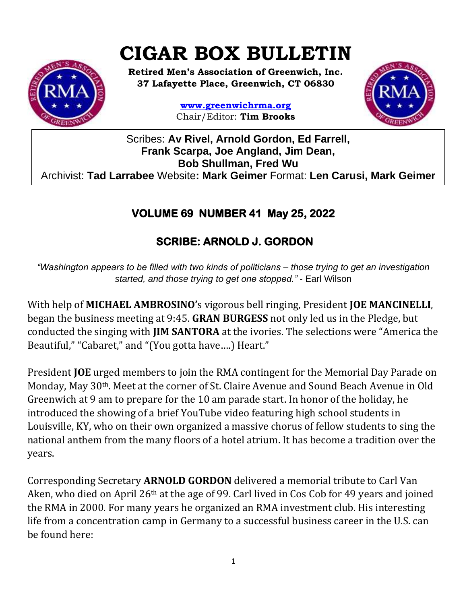# **CIGAR BOX BULLETIN**



**Retired Men's Association of Greenwich, Inc. 37 Lafayette Place, Greenwich, CT 06830**

> **www.greenwichrma.org** Chair/Editor: **Tim Brooks**



Scribes: **Av Rivel, Arnold Gordon, Ed Farrell, Frank Scarpa, Joe Angland, Jim Dean, Bob Shullman, Fred Wu** Archivist: **Tad Larrabee** Website**: Mark Geimer** Format: **Len Carusi, Mark Geimer c**

# **VOLUME 69 NUMBER 41 May 25, 2022**

# **SCRIBE: ARNOLD J. GORDON**

*"Washington appears to be filled with two kinds of politicians – those trying to get an investigation started, and those trying to get one stopped."* - Earl Wilson

With help of **MICHAEL AMBROSINO'**s vigorous bell ringing, President **JOE MANCINELLI**, began the business meeting at 9:45. **GRAN BURGESS** not only led us in the Pledge, but conducted the singing with **JIM SANTORA** at the ivories. The selections were "America the Beautiful," "Cabaret," and "(You gotta have….) Heart."

President **JOE** urged members to join the RMA contingent for the Memorial Day Parade on Monday, May 30th. Meet at the corner of St. Claire Avenue and Sound Beach Avenue in Old Greenwich at 9 am to prepare for the 10 am parade start. In honor of the holiday, he introduced the showing of a brief YouTube video featuring high school students in Louisville, KY, who on their own organized a massive chorus of fellow students to sing the national anthem from the many floors of a hotel atrium. It has become a tradition over the years.

Corresponding Secretary **ARNOLD GORDON** delivered a memorial tribute to Carl Van Aken, who died on April 26th at the age of 99. Carl lived in Cos Cob for 49 years and joined the RMA in 2000. For many years he organized an RMA investment club. His interesting life from a concentration camp in Germany to a successful business career in the U.S. can be found here: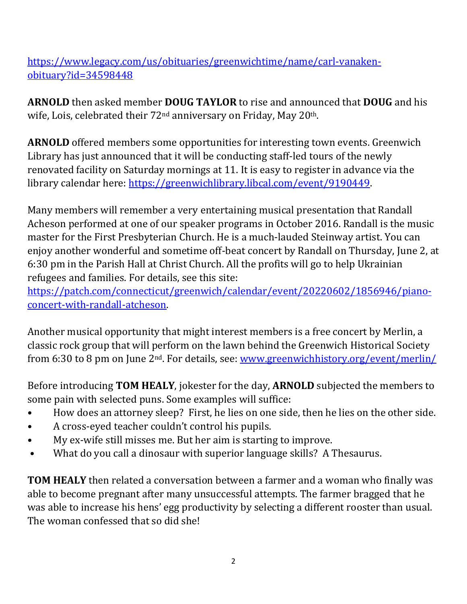[https://www.legacy.com/us/obituaries/greenwichtime/name/carl-vanaken](https://www.legacy.com/us/obituaries/greenwichtime/name/carl-vanaken-obituary?id=34598448)[obituary?id=34598448](https://www.legacy.com/us/obituaries/greenwichtime/name/carl-vanaken-obituary?id=34598448)

**ARNOLD** then asked member **DOUG TAYLOR** to rise and announced that **DOUG** and his wife, Lois, celebrated their 72<sup>nd</sup> anniversary on Friday, May 20<sup>th</sup>.

**ARNOLD** offered members some opportunities for interesting town events. Greenwich Library has just announced that it will be conducting staff-led tours of the newly renovated facility on Saturday mornings at 11. It is easy to register in advance via the library calendar here: [https://greenwichlibrary.libcal.com/event/9190449.](https://greenwichlibrary.libcal.com/event/9190449)

Many members will remember a very entertaining musical presentation that Randall Acheson performed at one of our speaker programs in October 2016. Randall is the music master for the First Presbyterian Church. He is a much-lauded Steinway artist. You can enjoy another wonderful and sometime off-beat concert by Randall on Thursday, June 2, at 6:30 pm in the Parish Hall at Christ Church. All the profits will go to help Ukrainian refugees and families. For details, see this site:

[https://patch.com/connecticut/greenwich/calendar/event/20220602/1856946/piano](https://patch.com/connecticut/greenwich/calendar/event/20220602/1856946/piano-concert-with-randall-atcheson)[concert-with-randall-atcheson.](https://patch.com/connecticut/greenwich/calendar/event/20220602/1856946/piano-concert-with-randall-atcheson)

Another musical opportunity that might interest members is a free concert by Merlin, a classic rock group that will perform on the lawn behind the Greenwich Historical Society from 6:30 to 8 pm on June 2nd. For details, see: [www.greenwichhistory.org/event/merlin/](http://www.greenwichhistory.org/event/merlin/)

Before introducing **TOM HEALY**, jokester for the day, **ARNOLD** subjected the members to some pain with selected puns. Some examples will suffice:

- How does an attorney sleep? First, he lies on one side, then he lies on the other side.
- A cross-eyed teacher couldn't control his pupils.
- My ex-wife still misses me. But her aim is starting to improve.
- What do you call a dinosaur with superior language skills? A Thesaurus.

**TOM HEALY** then related a conversation between a farmer and a woman who finally was able to become pregnant after many unsuccessful attempts. The farmer bragged that he was able to increase his hens' egg productivity by selecting a different rooster than usual. The woman confessed that so did she!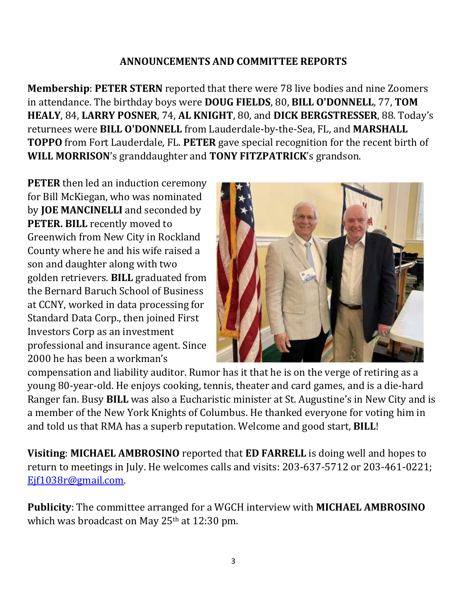#### **ANNOUNCEMENTS AND COMMITTEE REPORTS**

**Membership**: **PETER STERN** reported that there were 78 live bodies and nine Zoomers in attendance. The birthday boys were **DOUG FIELDS**, 80, **BILL O'DONNELL**, 77, **TOM HEALY**, 84, **LARRY POSNER**, 74, **AL KNIGHT**, 80, and **DICK BERGSTRESSER**, 88. Today's returnees were **BILL O'DONNELL** from Lauderdale-by-the-Sea, FL, and **MARSHALL TOPPO** from Fort Lauderdale, FL. **PETER** gave special recognition for the recent birth of **WILL MORRISON**'s granddaughter and **TONY FITZPATRICK**'s grandson.

**PETER** then led an induction ceremony for Bill McKiegan, who was nominated by **JOE MANCINELLI** and seconded by **PETER. BILL** recently moved to Greenwich from New City in Rockland County where he and his wife raised a son and daughter along with two golden retrievers. **BILL** graduated from the Bernard Baruch School of Business at CCNY, worked in data processing for Standard Data Corp., then joined First Investors Corp as an investment professional and insurance agent. Since 2000 he has been a workman's



compensation and liability auditor. Rumor has it that he is on the verge of retiring as a young 80-year-old. He enjoys cooking, tennis, theater and card games, and is a die-hard Ranger fan. Busy **BILL** was also a Eucharistic minister at St. Augustine's in New City and is a member of the New York Knights of Columbus. He thanked everyone for voting him in and told us that RMA has a superb reputation. Welcome and good start, **BILL**!

**Visiting**: **MICHAEL AMBROSINO** reported that **ED FARRELL** is doing well and hopes to return to meetings in July. He welcomes calls and visits: 203-637-5712 or 203-461-0221; [Ejf1038r@gmail.com.](mailto:Ejf1038r@gmail.com)

**Publicity**: The committee arranged for a WGCH interview with **MICHAEL AMBROSINO** which was broadcast on May 25<sup>th</sup> at 12:30 pm.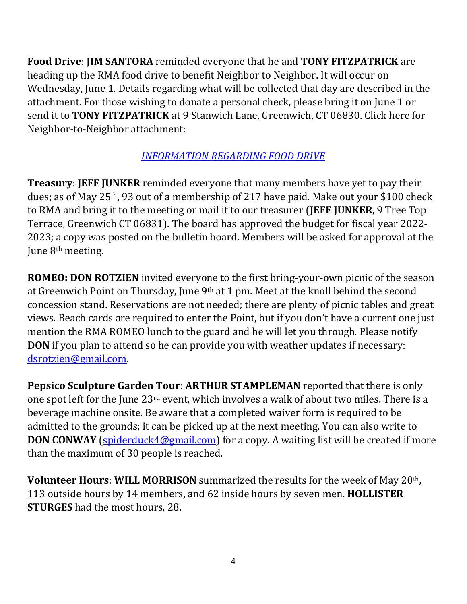**Food Drive**: **JIM SANTORA** reminded everyone that he and **TONY FITZPATRICK** are heading up the RMA food drive to benefit Neighbor to Neighbor. It will occur on Wednesday, June 1. Details regarding what will be collected that day are described in the attachment. For those wishing to donate a personal check, please bring it on June 1 or send it to **TONY FITZPATRICK** at 9 Stanwich Lane, Greenwich, CT 06830. Click here for Neighbor-to-Neighbor attachment:

## *[INFORMATION REGARDING FOOD DRIVE](https://mcusercontent.com/053716f9c54f7992fd5ff0675/files/5dfefbb0-9e73-2230-5e19-a4f8c9ee4acd/Food_Drive_Attachment.01.pdf)*

**Treasury**: **JEFF JUNKER** reminded everyone that many members have yet to pay their dues; as of May 25th, 93 out of a membership of 217 have paid. Make out your \$100 check to RMA and bring it to the meeting or mail it to our treasurer (**JEFF JUNKER**, 9 Tree Top Terrace, Greenwich CT 06831). The board has approved the budget for fiscal year 2022- 2023; a copy was posted on the bulletin board. Members will be asked for approval at the June 8<sup>th</sup> meeting.

**ROMEO: DON ROTZIEN** invited everyone to the first bring-your-own picnic of the season at Greenwich Point on Thursday, June 9th at 1 pm. Meet at the knoll behind the second concession stand. Reservations are not needed; there are plenty of picnic tables and great views. Beach cards are required to enter the Point, but if you don't have a current one just mention the RMA ROMEO lunch to the guard and he will let you through. Please notify **DON** if you plan to attend so he can provide you with weather updates if necessary: [dsrotzien@gmail.com.](mailto:dsrotzien@gmail.com)

**Pepsico Sculpture Garden Tour**: **ARTHUR STAMPLEMAN** reported that there is only one spot left for the June 23rd event, which involves a walk of about two miles. There is a beverage machine onsite. Be aware that a completed waiver form is required to be admitted to the grounds; it can be picked up at the next meeting. You can also write to **DON CONWAY** [\(spiderduck4@gmail.com\)](mailto:spiderduck4@gmail.com) for a copy. A waiting list will be created if more than the maximum of 30 people is reached.

**Volunteer Hours**: **WILL MORRISON** summarized the results for the week of May 20th, 113 outside hours by 14 members, and 62 inside hours by seven men. **HOLLISTER STURGES** had the most hours, 28.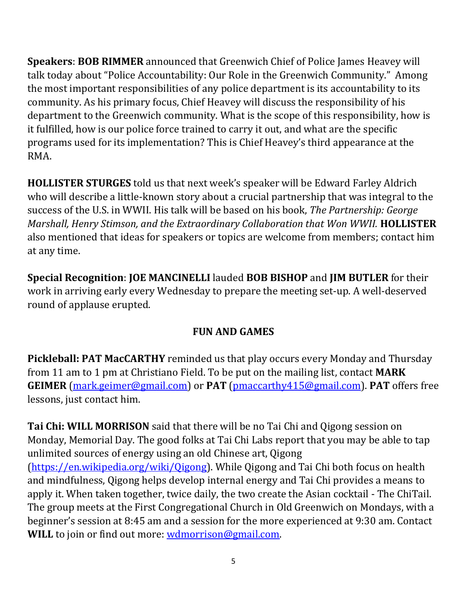**Speakers**: **BOB RIMMER** announced that Greenwich Chief of Police James Heavey will talk today about "Police Accountability: Our Role in the Greenwich Community." Among the most important responsibilities of any police department is its accountability to its community. As his primary focus, Chief Heavey will discuss the responsibility of his department to the Greenwich community. What is the scope of this responsibility, how is it fulfilled, how is our police force trained to carry it out, and what are the specific programs used for its implementation? This is Chief Heavey's third appearance at the RMA.

**HOLLISTER STURGES** told us that next week's speaker will be Edward Farley Aldrich who will describe a little-known story about a crucial partnership that was integral to the success of the U.S. in WWII. His talk will be based on his book, *The Partnership: George Marshall, Henry Stimson, and the Extraordinary Collaboration that Won WWII.* **HOLLISTER** also mentioned that ideas for speakers or topics are welcome from members; contact him at any time.

**Special Recognition**: **JOE MANCINELLI** lauded **BOB BISHOP** and **JIM BUTLER** for their work in arriving early every Wednesday to prepare the meeting set-up. A well-deserved round of applause erupted.

## **FUN AND GAMES**

**Pickleball: PAT MacCARTHY** reminded us that play occurs every Monday and Thursday from 11 am to 1 pm at Christiano Field. To be put on the mailing list, contact **MARK GEIMER** [\(mark.geimer@gmail.com\)](mailto:mark.geimer@gmail.com) or **PAT** [\(pmaccarthy415@gmail.com\)](mailto:pmaccarthy415@gmail.com). **PAT** offers free lessons, just contact him.

**Tai Chi: WILL MORRISON** said that there will be no Tai Chi and Qigong session on Monday, Memorial Day. The good folks at Tai Chi Labs report that you may be able to tap unlimited sources of energy using an old Chinese art, Qigong [\(https://en.wikipedia.org/wiki/Qigong\)](https://en.wikipedia.org/wiki/Qigong). While Qigong and Tai Chi both focus on health and mindfulness, Qigong helps develop internal energy and Tai Chi provides a means to apply it. When taken together, twice daily, the two create the Asian cocktail - The ChiTail. The group meets at the First Congregational Church in Old Greenwich on Mondays, with a beginner's session at 8:45 am and a session for the more experienced at 9:30 am. Contact WILL to join or find out more: [wdmorrison@gmail.com.](mailto:wdmorrison@gmail.com)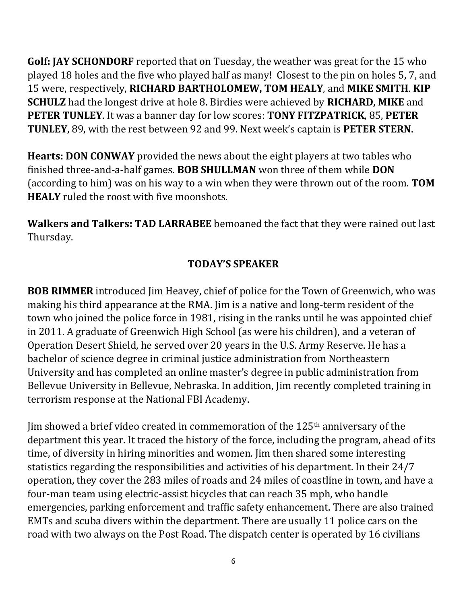**Golf: JAY SCHONDORF** reported that on Tuesday, the weather was great for the 15 who played 18 holes and the five who played half as many! Closest to the pin on holes 5, 7, and 15 were, respectively, **RICHARD BARTHOLOMEW, TOM HEALY**, and **MIKE SMITH**. **KIP SCHULZ** had the longest drive at hole 8. Birdies were achieved by **RICHARD, MIKE** and **PETER TUNLEY**. It was a banner day for low scores: **TONY FITZPATRICK**, 85, **PETER TUNLEY**, 89, with the rest between 92 and 99. Next week's captain is **PETER STERN**.

**Hearts: DON CONWAY** provided the news about the eight players at two tables who finished three-and-a-half games. **BOB SHULLMAN** won three of them while **DON**  (according to him) was on his way to a win when they were thrown out of the room. **TOM HEALY** ruled the roost with five moonshots.

**Walkers and Talkers: TAD LARRABEE** bemoaned the fact that they were rained out last Thursday.

## **TODAY'S SPEAKER**

**BOB RIMMER** introduced Jim Heavey, chief of police for the Town of Greenwich, who was making his third appearance at the RMA. Jim is a native and long-term resident of the town who joined the police force in 1981, rising in the ranks until he was appointed chief in 2011. A graduate of Greenwich High School (as were his children), and a veteran of Operation Desert Shield, he served over 20 years in the U.S. Army Reserve. He has a bachelor of science degree in criminal justice administration from Northeastern University and has completed an online master's degree in public administration from Bellevue University in Bellevue, Nebraska. In addition, Jim recently completed training in terrorism response at the National FBI Academy.

Jim showed a brief video created in commemoration of the 125th anniversary of the department this year. It traced the history of the force, including the program, ahead of its time, of diversity in hiring minorities and women. Jim then shared some interesting statistics regarding the responsibilities and activities of his department. In their 24/7 operation, they cover the 283 miles of roads and 24 miles of coastline in town, and have a four-man team using electric-assist bicycles that can reach 35 mph, who handle emergencies, parking enforcement and traffic safety enhancement. There are also trained EMTs and scuba divers within the department. There are usually 11 police cars on the road with two always on the Post Road. The dispatch center is operated by 16 civilians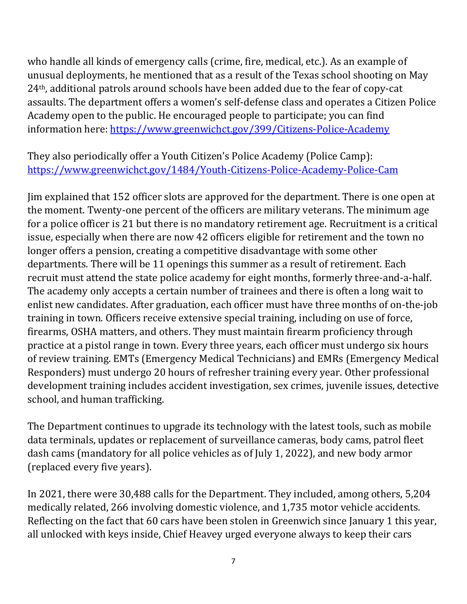who handle all kinds of emergency calls (crime, fire, medical, etc.). As an example of unusual deployments, he mentioned that as a result of the Texas school shooting on May 24th, additional patrols around schools have been added due to the fear of copy-cat assaults. The department offers a women's self-defense class and operates a Citizen Police Academy open to the public. He encouraged people to participate; you can find information here: <https://www.greenwichct.gov/399/Citizens-Police-Academy>

They also periodically offer a Youth Citizen's Police Academy (Police Camp): <https://www.greenwichct.gov/1484/Youth-Citizens-Police-Academy-Police-Cam>

Jim explained that 152 officer slots are approved for the department. There is one open at the moment. Twenty-one percent of the officers are military veterans. The minimum age for a police officer is 21 but there is no mandatory retirement age. Recruitment is a critical issue, especially when there are now 42 officers eligible for retirement and the town no longer offers a pension, creating a competitive disadvantage with some other departments. There will be 11 openings this summer as a result of retirement. Each recruit must attend the state police academy for eight months, formerly three-and-a-half. The academy only accepts a certain number of trainees and there is often a long wait to enlist new candidates. After graduation, each officer must have three months of on-the-job training in town. Officers receive extensive special training, including on use of force, firearms, OSHA matters, and others. They must maintain firearm proficiency through practice at a pistol range in town. Every three years, each officer must undergo six hours of review training. EMTs (Emergency Medical Technicians) and EMRs (Emergency Medical Responders) must undergo 20 hours of refresher training every year. Other professional development training includes accident investigation, sex crimes, juvenile issues, detective school, and human trafficking.

The Department continues to upgrade its technology with the latest tools, such as mobile data terminals, updates or replacement of surveillance cameras, body cams, patrol fleet dash cams (mandatory for all police vehicles as of July 1, 2022), and new body armor (replaced every five years).

In 2021, there were 30,488 calls for the Department. They included, among others, 5,204 medically related, 266 involving domestic violence, and 1,735 motor vehicle accidents. Reflecting on the fact that 60 cars have been stolen in Greenwich since January 1 this year, all unlocked with keys inside, Chief Heavey urged everyone always to keep their cars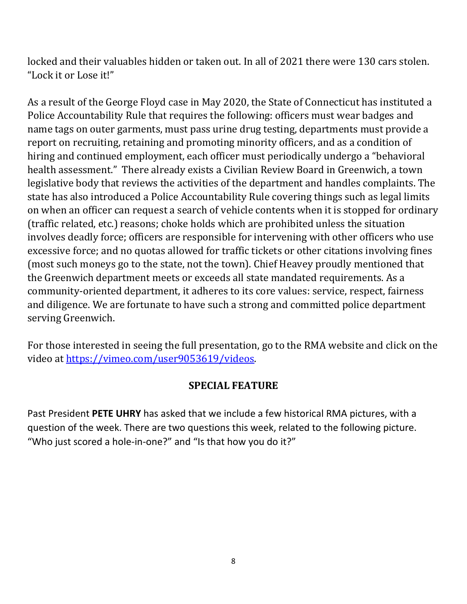locked and their valuables hidden or taken out. In all of 2021 there were 130 cars stolen. "Lock it or Lose it!"

As a result of the George Floyd case in May 2020, the State of Connecticut has instituted a Police Accountability Rule that requires the following: officers must wear badges and name tags on outer garments, must pass urine drug testing, departments must provide a report on recruiting, retaining and promoting minority officers, and as a condition of hiring and continued employment, each officer must periodically undergo a "behavioral health assessment." There already exists a Civilian Review Board in Greenwich, a town legislative body that reviews the activities of the department and handles complaints. The state has also introduced a Police Accountability Rule covering things such as legal limits on when an officer can request a search of vehicle contents when it is stopped for ordinary (traffic related, etc.) reasons; choke holds which are prohibited unless the situation involves deadly force; officers are responsible for intervening with other officers who use excessive force; and no quotas allowed for traffic tickets or other citations involving fines (most such moneys go to the state, not the town). Chief Heavey proudly mentioned that the Greenwich department meets or exceeds all state mandated requirements. As a community-oriented department, it adheres to its core values: service, respect, fairness and diligence. We are fortunate to have such a strong and committed police department serving Greenwich.

For those interested in seeing the full presentation, go to the RMA website and click on the video at [https://vimeo.com/user9053619/videos.](https://vimeo.com/user9053619/videos)

#### **SPECIAL FEATURE**

Past President **PETE UHRY** has asked that we include a few historical RMA pictures, with a question of the week. There are two questions this week, related to the following picture. "Who just scored a hole-in-one?" and "Is that how you do it?"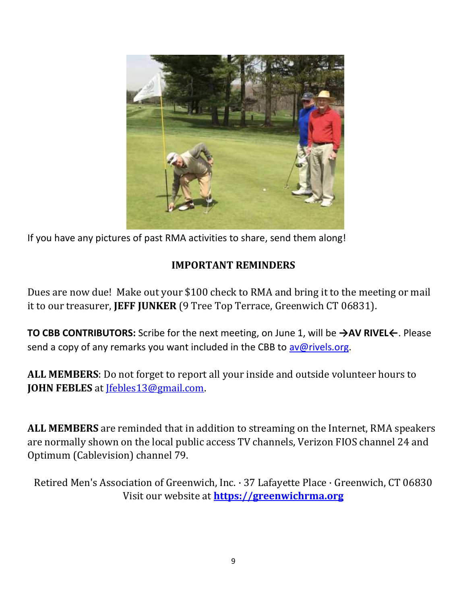

If you have any pictures of past RMA activities to share, send them along!

#### **IMPORTANT REMINDERS**

Dues are now due! Make out your \$100 check to RMA and bring it to the meeting or mail it to our treasurer, **JEFF JUNKER** (9 Tree Top Terrace, Greenwich CT 06831).

**TO CBB CONTRIBUTORS:** Scribe for the next meeting, on June 1, will be **→AV RIVEL←**. Please send a copy of any remarks you want included in the CBB to [av@rivels.org.](mailto:av@rivels.org)

**ALL MEMBERS**: Do not forget to report all your inside and outside volunteer hours to **JOHN FEBLES** at [Jfebles13@gmail.com.](mailto:Jfebles13@gmail.com)

**ALL MEMBERS** are reminded that in addition to streaming on the Internet, RMA speakers are normally shown on the local public access TV channels, Verizon FIOS channel 24 and Optimum (Cablevision) channel 79.

Retired Men's Association of Greenwich, Inc. · 37 Lafayette Place · Greenwich, CT 06830 Visit our website at **[https://greenwichrma.org](https://greenwichrma.org/)**